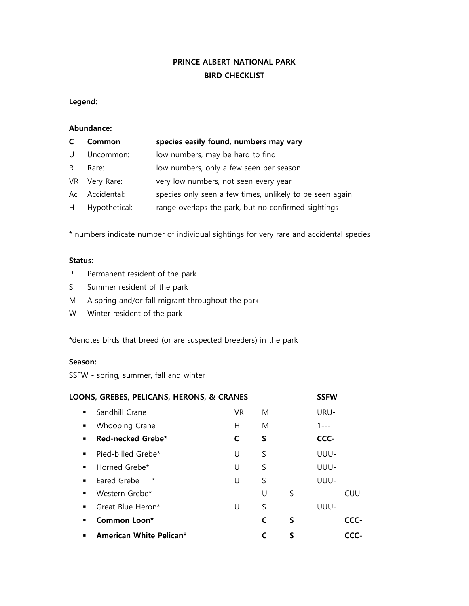# **PRINCE ALBERT NATIONAL PARK BIRD CHECKLIST**

## **Legend:**

#### **Abundance:**

| C. | Common         | species easily found, numbers may vary                   |
|----|----------------|----------------------------------------------------------|
| U  | Uncommon:      | low numbers, may be hard to find                         |
| R. | Rare:          | low numbers, only a few seen per season                  |
|    | VR Very Rare:  | very low numbers, not seen every year                    |
|    | Ac Accidental: | species only seen a few times, unlikely to be seen again |
| H. | Hypothetical:  | range overlaps the park, but no confirmed sightings      |

\* numbers indicate number of individual sightings for very rare and accidental species

#### **Status:**

- P Permanent resident of the park
- S Summer resident of the park
- M A spring and/or fall migrant throughout the park
- W Winter resident of the park

\*denotes birds that breed (or are suspected breeders) in the park

## **Season:**

SSFW - spring, summer, fall and winter

| LOONS, GREBES, PELICANS, HERONS, & CRANES |           |   |   |           |             |
|-------------------------------------------|-----------|---|---|-----------|-------------|
| Sandhill Crane                            | <b>VR</b> | M |   | URU-      |             |
| <b>Whooping Crane</b>                     | Н         | M |   | $1 - - -$ |             |
| Red-necked Grebe*                         | C         | S |   | CCC-      |             |
| Pied-billed Grebe*                        | U         | S |   | UUU-      |             |
| Horned Grebe*                             | U         | S |   | UUU-      |             |
| Eared Grebe<br>$\star$                    | U         | S |   | UUU-      |             |
| Western Grebe*                            |           | U | S |           | CUU-        |
| Great Blue Heron*                         | U         | S |   | UUU-      |             |
| Common Loon*                              |           | C | S |           | CCC-        |
| American White Pelican*                   |           |   | S |           | CCC-        |
|                                           |           |   |   |           | <b>SSFW</b> |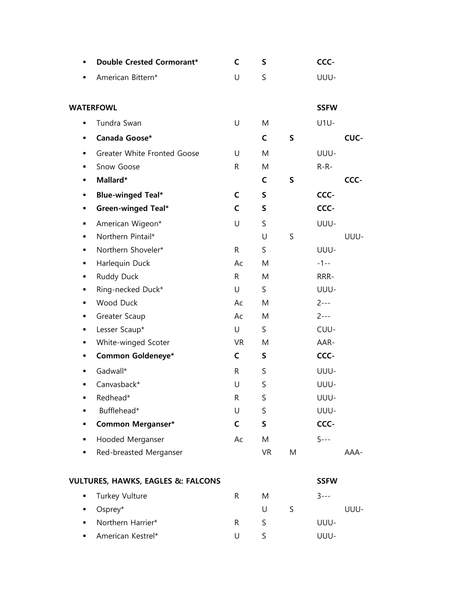| ٠ | Double Crested Cormorant*                     | C            | S            |   | CCC-        |      |
|---|-----------------------------------------------|--------------|--------------|---|-------------|------|
| ٠ | American Bittern*                             | U            | S            |   | UUU-        |      |
|   | <b>WATERFOWL</b>                              |              |              |   | <b>SSFW</b> |      |
| ٠ | Tundra Swan                                   | U            | M            |   | $U1U-$      |      |
| ٠ | Canada Goose*                                 |              | $\mathsf{C}$ | S |             | CUC- |
| ٠ | Greater White Fronted Goose                   | U            | M            |   | UUU-        |      |
| ٠ | Snow Goose                                    | $\mathsf{R}$ | M            |   | $R-R-$      |      |
| ٠ | Mallard*                                      |              | C            | S |             | CCC- |
| ٠ | <b>Blue-winged Teal*</b>                      | C            | S            |   | CCC-        |      |
| ٠ | Green-winged Teal*                            | C            | S            |   | CCC-        |      |
| ٠ | American Wigeon*                              | U            | S            |   | UUU-        |      |
| ٠ | Northern Pintail*                             |              | U            | S |             | UUU- |
| ٠ | Northern Shoveler*                            | $\mathsf{R}$ | S            |   | UUU-        |      |
| ٠ | Harlequin Duck                                | Ac           | M            |   | $-1-$       |      |
| ٠ | Ruddy Duck                                    | $\mathsf{R}$ | M            |   | RRR-        |      |
| ٠ | Ring-necked Duck*                             | U            | S            |   | UUU-        |      |
| ٠ | Wood Duck                                     | Ac           | M            |   | $2--$       |      |
| ٠ | Greater Scaup                                 | Ac           | M            |   | $2--$       |      |
| ٠ | Lesser Scaup*                                 | U            | S            |   | CUU-        |      |
| ٠ | White-winged Scoter                           | <b>VR</b>    | M            |   | AAR-        |      |
| ٠ | Common Goldeneye*                             | $\mathsf{C}$ | S            |   | CCC-        |      |
| ٠ | Gadwall*                                      | $\mathsf{R}$ | S            |   | UUU-        |      |
|   | Canvasback*                                   | U            | S            |   | UUU-        |      |
| ٠ | Redhead*                                      | R            | S            |   | UUU-        |      |
|   | Bufflehead*                                   | U            | S            |   | UUU-        |      |
| ٠ | <b>Common Merganser*</b>                      | C            | S            |   | CCC-        |      |
| ٠ | Hooded Merganser                              | Ac           | M            |   | $5--$       |      |
| ٠ | Red-breasted Merganser                        |              | <b>VR</b>    | M |             | AAA- |
|   | <b>VULTURES, HAWKS, EAGLES &amp;: FALCONS</b> |              |              |   | <b>SSFW</b> |      |
| ٠ | <b>Turkey Vulture</b>                         | $\mathsf{R}$ | M            |   | $3--$       |      |
| ٠ | Osprey*                                       |              | U            | S |             | UUU- |
| ٠ | Northern Harrier*                             | $\mathsf{R}$ | S            |   | UUU-        |      |
| ٠ | American Kestrel*                             | U            | S            |   | UUU-        |      |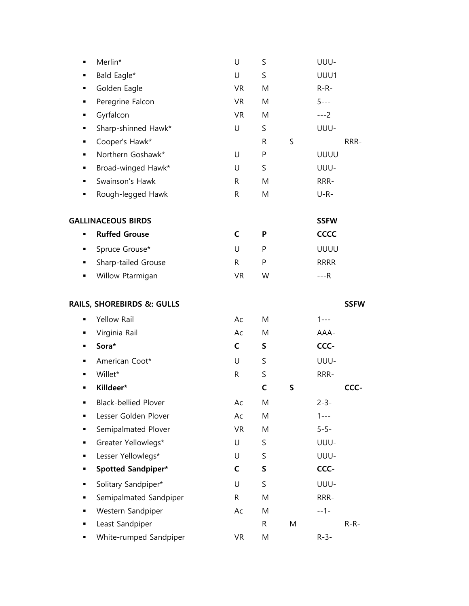| ٠ | Merlin*                     | U            | S            |   | UUU-        |             |
|---|-----------------------------|--------------|--------------|---|-------------|-------------|
| ٠ | Bald Eagle*                 | U            | S            |   | UUU1        |             |
| ٠ | Golden Eagle                | <b>VR</b>    | M            |   | $R-R-$      |             |
| ٠ | Peregrine Falcon            | <b>VR</b>    | M            |   | $5--$       |             |
| ٠ | Gyrfalcon                   | <b>VR</b>    | M            |   | $---2$      |             |
| ٠ | Sharp-shinned Hawk*         | U            | S            |   | UUU-        |             |
| ٠ | Cooper's Hawk*              |              | R            | S |             | RRR-        |
| ٠ | Northern Goshawk*           | U            | P            |   | <b>UUUU</b> |             |
|   | Broad-winged Hawk*          | U            | S            |   | UUU-        |             |
| ٠ | Swainson's Hawk             | R            | M            |   | RRR-        |             |
| ٠ | Rough-legged Hawk           | R            | M            |   | $U-R-$      |             |
|   | <b>GALLINACEOUS BIRDS</b>   |              |              |   | <b>SSFW</b> |             |
| ٠ | <b>Ruffed Grouse</b>        | C            | P            |   | <b>CCCC</b> |             |
| ٠ | Spruce Grouse*              | U            | P            |   | UUUU        |             |
| ٠ | Sharp-tailed Grouse         | $\mathsf{R}$ | P            |   | <b>RRRR</b> |             |
| ٠ | Willow Ptarmigan            | <b>VR</b>    | W            |   | $---R$      |             |
|   | RAILS, SHOREBIRDS &: GULLS  |              |              |   |             | <b>SSFW</b> |
| ٠ | <b>Yellow Rail</b>          | Ac           | M            |   | $1 - - -$   |             |
| ٠ | Virginia Rail               | Ac           | M            |   | AAA-        |             |
| ٠ | Sora*                       | $\mathsf{C}$ | S            |   | CCC-        |             |
| ٠ | American Coot*              | U            | S            |   | UUU-        |             |
| ٠ | Willet*                     | R            | S            |   | RRR-        |             |
| ٠ | Killdeer*                   |              | $\mathsf{C}$ | S |             | CCC-        |
| ٠ | <b>Black-bellied Plover</b> | Ac           | M            |   | $2 - 3 -$   |             |
|   | Lesser Golden Plover        | Ac           | M            |   | $1 - - -$   |             |
| ٠ | Semipalmated Plover         | <b>VR</b>    | M            |   | $5 - 5 -$   |             |
| ٠ | Greater Yellowlegs*         | U            | S            |   | UUU-        |             |
| ٠ | Lesser Yellowlegs*          | U            | S            |   | UUU-        |             |
| ٠ | Spotted Sandpiper*          | C            | S            |   | CCC-        |             |
| ٠ | Solitary Sandpiper*         | U            | S            |   | UUU-        |             |
| ٠ | Semipalmated Sandpiper      | R            | M            |   | RRR-        |             |
| ٠ | Western Sandpiper           | Ac           | M            |   | $-1 -$      |             |
| ٠ | Least Sandpiper             |              | R            | M |             | $R-R-$      |
|   | White-rumped Sandpiper      | <b>VR</b>    | M            |   | $R - 3 -$   |             |
|   |                             |              |              |   |             |             |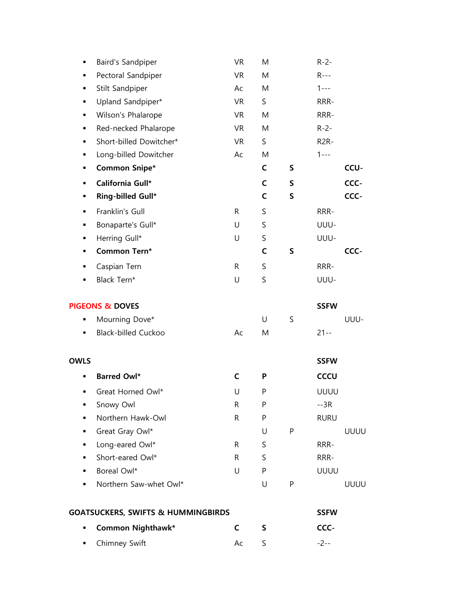| ٠           | Baird's Sandpiper                             | <b>VR</b>    | M            |   | $R - 2 -$         |             |
|-------------|-----------------------------------------------|--------------|--------------|---|-------------------|-------------|
| ٠           | Pectoral Sandpiper                            | <b>VR</b>    | M            |   | $R--$             |             |
| ٠           | Stilt Sandpiper                               | Ac           | M            |   | $1 - - -$         |             |
| ٠           | Upland Sandpiper*                             | <b>VR</b>    | $\mathsf S$  |   | RRR-              |             |
| ٠           | Wilson's Phalarope                            | <b>VR</b>    | M            |   | RRR-              |             |
| ٠           | Red-necked Phalarope                          | <b>VR</b>    | M            |   | $R - 2 -$         |             |
| ٠           | Short-billed Dowitcher*                       | <b>VR</b>    | S            |   | R <sub>2</sub> R- |             |
| ٠           | Long-billed Dowitcher                         | Ac           | M            |   | $1 - - -$         |             |
| ٠           | <b>Common Snipe*</b>                          |              | C            | S |                   | CCU-        |
| ٠           | California Gull*                              |              | C            | S |                   | CCC-        |
| ٠           | Ring-billed Gull*                             |              | C            | S |                   | CCC-        |
| ٠           | Franklin's Gull                               | R            | $\sf S$      |   | RRR-              |             |
| ٠           | Bonaparte's Gull*                             | U            | S            |   | UUU-              |             |
| ٠           | Herring Gull*                                 | U            | S            |   | UUU-              |             |
| ٠           | Common Tern*                                  |              | $\mathsf{C}$ | S |                   | CCC-        |
| ٠           | Caspian Tern                                  | R            | S            |   | RRR-              |             |
| ٠           | Black Tern*                                   | U            | S            |   | UUU-              |             |
|             | <b>PIGEONS &amp; DOVES</b>                    |              |              |   | <b>SSFW</b>       |             |
| ٠           | Mourning Dove*                                |              | U            | S |                   | UUU-        |
| ٠           | <b>Black-billed Cuckoo</b>                    | Ac           | M            |   | $21 -$            |             |
|             |                                               |              |              |   |                   |             |
| <b>OWLS</b> |                                               |              |              |   | <b>SSFW</b>       |             |
| ٠           | <b>Barred Owl*</b>                            | C            | P            |   | <b>CCCU</b>       |             |
| ٠           | Great Horned Owl*                             | U            | P            |   | UUUU              |             |
|             | Snowy Owl                                     | R            | P            |   | $-3R$             |             |
| ٠           | Northern Hawk-Owl                             | R            | P            |   | <b>RURU</b>       |             |
| ٠           | Great Gray Owl*                               |              | U            | P |                   | <b>UUUU</b> |
| ٠           | Long-eared Owl*                               | R            | S            |   | RRR-              |             |
|             | Short-eared Owl*                              | R            | S            |   | RRR-              |             |
| ٠           | Boreal Owl*                                   | U            | P            |   | UUUU              |             |
| ٠           | Northern Saw-whet Owl*                        |              | U            | P |                   | <b>UUUU</b> |
|             | <b>GOATSUCKERS, SWIFTS &amp; HUMMINGBIRDS</b> |              |              |   | <b>SSFW</b>       |             |
|             | Common Nighthawk*                             | $\mathsf{C}$ | S            |   | CCC-              |             |
| ٠           | Chimney Swift                                 | Ac           | S            |   | $-2-$             |             |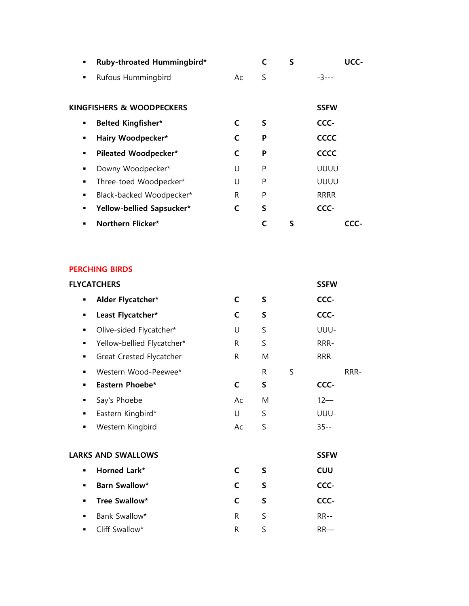| ٠ | Ruby-throated Hummingbird* |    | C | S | UCC-        |
|---|----------------------------|----|---|---|-------------|
| ٠ | Rufous Hummingbird         | Ac | S |   | $-3--$      |
|   |                            |    |   |   |             |
|   | KINGFISHERS & WOODPECKERS  |    |   |   | <b>SSFW</b> |
| ٠ | <b>Belted Kingfisher*</b>  | C  | S |   | CCC-        |
| ٠ | Hairy Woodpecker*          | C  | P |   | <b>CCCC</b> |
| ٠ | Pileated Woodpecker*       | C  | P |   | <b>CCCC</b> |
| ٠ | Downy Woodpecker*          | U  | P |   | UUUU        |
| ٠ | Three-toed Woodpecker*     | U  | P |   | UUUU        |
| ٠ | Black-backed Woodpecker*   | R  | P |   | RRRR        |
| ٠ | Yellow-bellied Sapsucker*  | C  | S |   | CCC-        |
|   | Northern Flicker*          |    | C | S | CCC-        |

# **PERCHING BIRDS**

|   | <b>FLYCATCHERS</b>         |              |         |   | <b>SSFW</b> |      |
|---|----------------------------|--------------|---------|---|-------------|------|
| ٠ | Alder Flycatcher*          | $\mathsf{C}$ | S       |   | CCC-        |      |
| ٠ | Least Flycatcher*          | C            | $\sf S$ |   | CCC-        |      |
| ٠ | Olive-sided Flycatcher*    | U            | S       |   | UUU-        |      |
| ٠ | Yellow-bellied Flycatcher* | $\mathsf{R}$ | S       |   | RRR-        |      |
| ٠ | Great Crested Flycatcher   | R            | M       |   | RRR-        |      |
| ٠ | Western Wood-Peewee*       |              | R       | S |             | RRR- |
| ٠ | Eastern Phoebe*            | $\mathsf{C}$ | S       |   | CCC-        |      |
| ٠ | Say's Phoebe               | Ac           | M       |   | $12 -$      |      |
| ٠ | Eastern Kingbird*          | U            | S       |   | UUU-        |      |
| ٠ | Western Kingbird           | Ac           | S       |   | $35 - -$    |      |
|   | <b>LARKS AND SWALLOWS</b>  |              |         |   | <b>SSFW</b> |      |
| ٠ | Horned Lark*               | C            | S       |   | <b>CUU</b>  |      |
| ٠ | Barn Swallow*              | C            | S       |   | CCC-        |      |
| ٠ | Tree Swallow*              | C            | S       |   | CCC-        |      |
| ٠ | Bank Swallow*              | $\mathsf{R}$ | S       |   | $RR--$      |      |
| ٠ | Cliff Swallow*             | R            | S       |   | $RR-$       |      |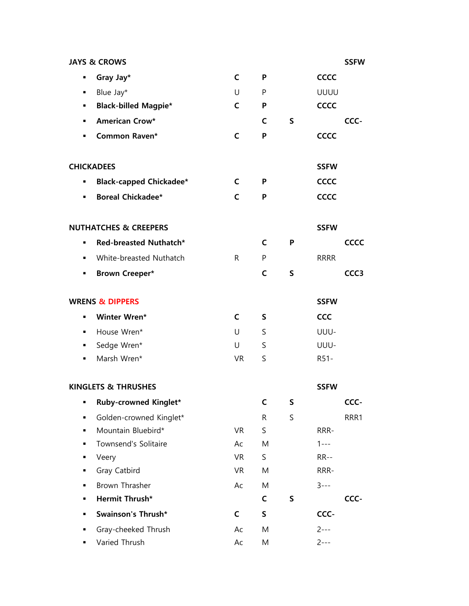|                   | <b>JAYS &amp; CROWS</b>              |              |              |   |                | <b>SSFW</b>      |
|-------------------|--------------------------------------|--------------|--------------|---|----------------|------------------|
| ٠                 | Gray Jay*                            | $\mathsf{C}$ | P            |   | <b>CCCC</b>    |                  |
| ٠                 | Blue Jay*                            | U            | P            |   | UUUU           |                  |
| ٠                 | <b>Black-billed Magpie*</b>          | C            | P            |   | <b>CCCC</b>    |                  |
| ٠                 | American Crow*                       |              | C            | S |                | CCC-             |
| ٠                 | Common Raven*                        | $\mathsf{C}$ | P            |   | <b>CCCC</b>    |                  |
| <b>CHICKADEES</b> |                                      |              |              |   | <b>SSFW</b>    |                  |
| ٠                 | <b>Black-capped Chickadee*</b>       | C            | P            |   | CCCC           |                  |
| ٠                 | <b>Boreal Chickadee*</b>             | C            | P            |   | CCCC           |                  |
|                   | <b>NUTHATCHES &amp; CREEPERS</b>     |              |              |   | <b>SSFW</b>    |                  |
| ٠                 | Red-breasted Nuthatch*               |              | C            | P |                | <b>CCCC</b>      |
| ٠                 | White-breasted Nuthatch              | $\mathsf{R}$ | P            |   | <b>RRRR</b>    |                  |
| ٠                 | <b>Brown Creeper*</b>                |              | $\mathsf{C}$ | S |                | CCC <sub>3</sub> |
|                   | <b>WRENS &amp; DIPPERS</b>           |              |              |   | <b>SSFW</b>    |                  |
| ٠                 | Winter Wren*                         | C            | S            |   | <b>CCC</b>     |                  |
| ٠                 | House Wren*                          | U            | S            |   | UUU-           |                  |
| ٠                 | Sedge Wren*                          | U            | S            |   | UUU-           |                  |
| ٠                 | Marsh Wren*                          | VR.          | S            |   | R51-           |                  |
|                   | <b>KINGLETS &amp; THRUSHES</b>       |              |              |   | <b>SSFW</b>    |                  |
| ٠                 | Ruby-crowned Kinglet*                |              | C            | S |                | CCC-             |
| ٠                 | Golden-crowned Kinglet*              |              | $\mathsf{R}$ | S |                | RRR1             |
| ٠                 | Mountain Bluebird*                   | <b>VR</b>    | S            |   | RRR-           |                  |
| ٠                 | Townsend's Solitaire                 | Ac           | M            |   | $1 - - -$      |                  |
| ٠                 | Veery                                | <b>VR</b>    | S            |   | $RR--$         |                  |
| ٠                 | Gray Catbird                         | <b>VR</b>    | M            |   | RRR-           |                  |
| ٠                 | Brown Thrasher<br>Hermit Thrush*     | Ac           | M<br>C       |   | $3--$          |                  |
| ٠                 | Swainson's Thrush*                   |              |              | S |                | CCC-             |
| ٠                 |                                      | $\mathsf{C}$ | S            |   | CCC-           |                  |
| ٠<br>٠            | Gray-cheeked Thrush<br>Varied Thrush | Ac<br>Ac     | M<br>M       |   | $2--$<br>$2--$ |                  |
|                   |                                      |              |              |   |                |                  |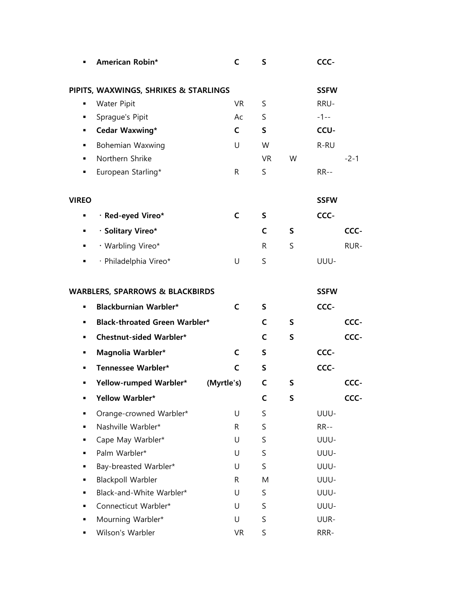|              | American Robin*                            | $\mathsf{C}$ | S            |   | CCC-        |        |
|--------------|--------------------------------------------|--------------|--------------|---|-------------|--------|
|              | PIPITS, WAXWINGS, SHRIKES & STARLINGS      |              |              |   | <b>SSFW</b> |        |
| ٠            | Water Pipit                                | VR.          | S            |   | RRU-        |        |
| ٠            | Sprague's Pipit                            | Ac           | S            |   | $-1-$       |        |
| ٠            | Cedar Waxwing*                             | C            | S            |   | CCU-        |        |
| ٠            | Bohemian Waxwing                           | U            | W            |   | R-RU        |        |
| ٠            | Northern Shrike                            |              | <b>VR</b>    | W |             | $-2-1$ |
| ٠            | European Starling*                         | $\mathsf{R}$ | S            |   | $RR--$      |        |
| <b>VIREO</b> |                                            |              |              |   | <b>SSFW</b> |        |
| ٠            | · Red-eyed Vireo*                          | $\mathsf{C}$ | S            |   | CCC-        |        |
|              | · Solitary Vireo*                          |              | $\mathsf{C}$ | S |             | CCC-   |
| ٠            | · Warbling Vireo*                          |              | R            | S |             | RUR-   |
|              | · Philadelphia Vireo*                      | U            | S            |   | UUU-        |        |
|              | <b>WARBLERS, SPARROWS &amp; BLACKBIRDS</b> |              |              |   | <b>SSFW</b> |        |
|              | <b>Blackburnian Warbler*</b>               | $\mathsf{C}$ | S            |   | CCC-        |        |
| ٠            | <b>Black-throated Green Warbler*</b>       |              | $\mathsf{C}$ | S |             | CCC-   |
| ٠            | Chestnut-sided Warbler*                    |              | $\mathsf{C}$ | S |             | CCC-   |
| ٠            | Magnolia Warbler*                          | C            | S            |   | CCC-        |        |
| ٠            | Tennessee Warbler*                         | C            | S            |   | CCC-        |        |
|              | Yellow-rumped Warbler*                     | (Myrtle's)   | $\mathsf{C}$ | S |             | CCC-   |
|              | Yellow Warbler*                            |              | C            | S |             | CCC-   |
| ٠            | Orange-crowned Warbler*                    | U            | S            |   | UUU-        |        |
| ٠            | Nashville Warbler*                         | R            | S            |   | $RR--$      |        |
|              | Cape May Warbler*                          | U            | S            |   | UUU-        |        |
| ٠            | Palm Warbler*                              | U            | S            |   | UUU-        |        |
| ٠            | Bay-breasted Warbler*                      | U            | S            |   | UUU-        |        |
| ٠            | <b>Blackpoll Warbler</b>                   | R            | M            |   | UUU-        |        |
|              | Black-and-White Warbler*                   | U            | S            |   | UUU-        |        |
|              | Connecticut Warbler*                       | U            | S            |   | UUU-        |        |
|              | Mourning Warbler*                          | U            | S            |   | UUR-        |        |
|              | Wilson's Warbler                           | <b>VR</b>    | S            |   | RRR-        |        |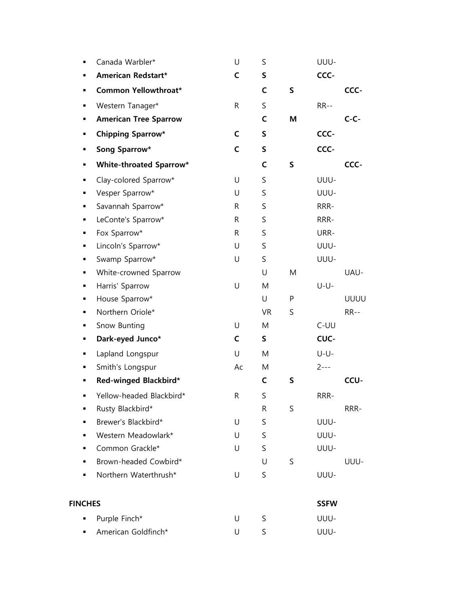| ٠              | Canada Warbler*              | U            | S            |             | UUU-        |        |
|----------------|------------------------------|--------------|--------------|-------------|-------------|--------|
|                | American Redstart*           | $\mathsf{C}$ | S            |             | CCC-        |        |
| ٠              | Common Yellowthroat*         |              | $\mathsf{C}$ | S           |             | CCC-   |
| ٠              | Western Tanager*             | R            | S            |             | $RR--$      |        |
| ٠              | <b>American Tree Sparrow</b> |              | $\mathsf{C}$ | M           |             | $C-C-$ |
| ٠              | <b>Chipping Sparrow*</b>     | C            | S            |             | CCC-        |        |
| ٠              | Song Sparrow*                | $\mathsf{C}$ | S            |             | CCC-        |        |
| ٠              | White-throated Sparrow*      |              | $\mathsf{C}$ | S           |             | CCC-   |
| ٠              | Clay-colored Sparrow*        | U            | S            |             | UUU-        |        |
| ٠              | Vesper Sparrow*              | $\cup$       | S            |             | UUU-        |        |
| ٠              | Savannah Sparrow*            | R            | S            |             | RRR-        |        |
| ٠              | LeConte's Sparrow*           | R            | S            |             | RRR-        |        |
| ٠              | Fox Sparrow*                 | R            | S            |             | URR-        |        |
| ٠              | Lincoln's Sparrow*           | U            | S            |             | UUU-        |        |
| ٠              | Swamp Sparrow*               | U            | S            |             | UUU-        |        |
| ٠              | White-crowned Sparrow        |              | U            | M           |             | UAU-   |
| ٠              | Harris' Sparrow              | $\cup$       | M            |             | $U-U-$      |        |
| ٠              | House Sparrow*               |              | U            | P           |             | UUUU   |
| ٠              | Northern Oriole*             |              | <b>VR</b>    | S           |             | $RR--$ |
| ٠              | Snow Bunting                 | U            | M            |             | C-UU        |        |
| ٠              | Dark-eyed Junco*             | $\mathsf{C}$ | S            |             | CUC-        |        |
| ٠              | Lapland Longspur             | $\cup$       | M            |             | $U-U-$      |        |
| ٠              | Smith's Longspur             | Ac           | M            |             | $2--$       |        |
| ٠              | Red-winged Blackbird*        |              | $\mathsf{C}$ | S           |             | CCU-   |
|                | Yellow-headed Blackbird*     | R            | S            |             | RRR-        |        |
|                | Rusty Blackbird*             |              | R            | $\mathsf S$ |             | RRR-   |
|                | Brewer's Blackbird*          | U            | S            |             | UUU-        |        |
| ٠              | Western Meadowlark*          | U            | S            |             | UUU-        |        |
| ٠              | Common Grackle*              | U            | S            |             | UUU-        |        |
|                | Brown-headed Cowbird*        |              | U            | S           |             | UUU-   |
|                | Northern Waterthrush*        | U            | S            |             | UUU-        |        |
| <b>FINCHES</b> |                              |              |              |             | <b>SSFW</b> |        |
| ٠              | Purple Finch*                | U            | S            |             | UUU-        |        |
| ٠              | American Goldfinch*          | U            | S            |             | UUU-        |        |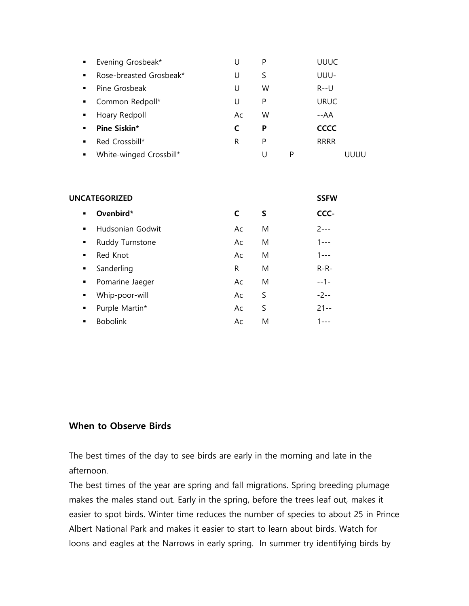| Evening Grosbeak*       | U  | P |   | UUUC        |      |
|-------------------------|----|---|---|-------------|------|
| Rose-breasted Grosbeak* | U  | S |   | UUU-        |      |
| Pine Grosbeak           | U  | W |   | $R - U$     |      |
| Common Redpoll*         | U  | P |   | <b>URUC</b> |      |
| Hoary Redpoll           | Ac | W |   | --AA        |      |
| Pine Siskin*            |    | P |   | <b>CCCC</b> |      |
| Red Crossbill*          | R  | P |   | <b>RRRR</b> |      |
| White-winged Crossbill* |    | U | P |             | UUUU |
|                         |    |   |   |             |      |

|   | <b>UNCATEGORIZED</b> |    |   |           |  |  |
|---|----------------------|----|---|-----------|--|--|
| ٠ | Ovenbird*            | C  | S | CCC-      |  |  |
| ٠ | Hudsonian Godwit     | Ac | M | $2--$     |  |  |
| ٠ | Ruddy Turnstone      | Ac | M | $1 - - -$ |  |  |
| ٠ | Red Knot             | Ac | M | $1 - - -$ |  |  |
| ٠ | Sanderling           | R  | M | $R-R-$    |  |  |
| ٠ | Pomarine Jaeger      | Ac | M | $- - 1 -$ |  |  |
| ٠ | Whip-poor-will       | Ac | S | $-2-$     |  |  |
| ٠ | Purple Martin*       | Ac | S | $21 -$    |  |  |
| ٠ | <b>Bobolink</b>      | Ac | M | 1 - - -   |  |  |

## **When to Observe Birds**

The best times of the day to see birds are early in the morning and late in the afternoon.

The best times of the year are spring and fall migrations. Spring breeding plumage makes the males stand out. Early in the spring, before the trees leaf out, makes it easier to spot birds. Winter time reduces the number of species to about 25 in Prince Albert National Park and makes it easier to start to learn about birds. Watch for loons and eagles at the Narrows in early spring. In summer try identifying birds by